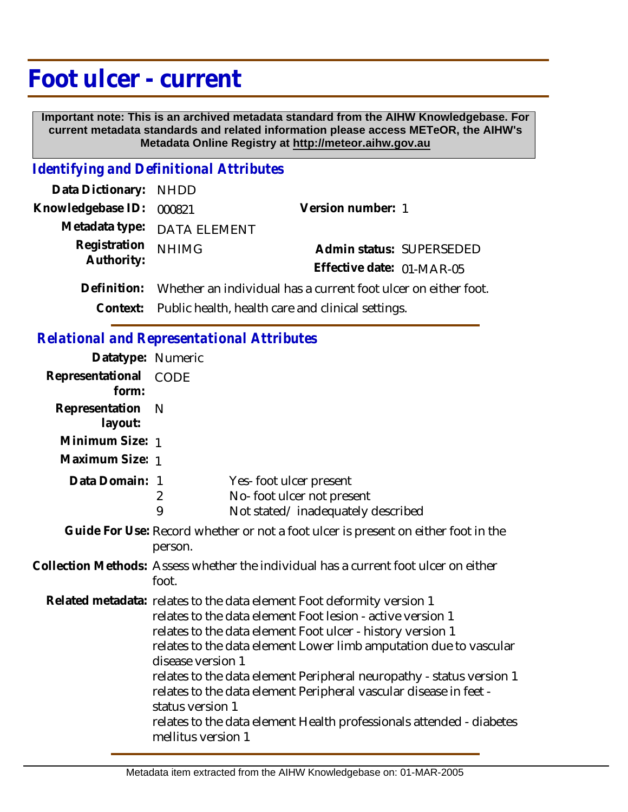## **Foot ulcer - current**

 **Important note: This is an archived metadata standard from the AIHW Knowledgebase. For current metadata standards and related information please access METeOR, the AIHW's Metadata Online Registry at http://meteor.aihw.gov.au**

## *Identifying and Definitional Attributes*

| Data Dictionary: NHDD    |                                                                            |                           |                          |
|--------------------------|----------------------------------------------------------------------------|---------------------------|--------------------------|
| Knowledgebase ID: 000821 |                                                                            | Version number: 1         |                          |
|                          | Metadata type: DATA ELEMENT                                                |                           |                          |
| Registration             | <b>NHIMG</b>                                                               |                           | Admin status: SUPERSEDED |
| Authority:               |                                                                            | Effective date: 01-MAR-05 |                          |
|                          | Definition: Whether an individual has a current foot ulcer on either foot. |                           |                          |
|                          | Context: Public health, health care and clinical settings.                 |                           |                          |

*Relational and Representational Attributes*

| Datatype: Numeric         |                                                                                                                                                                                                                                                                                                                                                                                                                                                                                                                                                             |  |
|---------------------------|-------------------------------------------------------------------------------------------------------------------------------------------------------------------------------------------------------------------------------------------------------------------------------------------------------------------------------------------------------------------------------------------------------------------------------------------------------------------------------------------------------------------------------------------------------------|--|
| Representational<br>form: | CODE                                                                                                                                                                                                                                                                                                                                                                                                                                                                                                                                                        |  |
| Representation<br>layout: | - N                                                                                                                                                                                                                                                                                                                                                                                                                                                                                                                                                         |  |
| Minimum Size: 1           |                                                                                                                                                                                                                                                                                                                                                                                                                                                                                                                                                             |  |
| Maximum Size: 1           |                                                                                                                                                                                                                                                                                                                                                                                                                                                                                                                                                             |  |
| Data Domain:              | Yes-foot ulcer present<br>$\overline{1}$<br>$\overline{2}$<br>No-foot ulcer not present<br>9<br>Not stated/inadequately described                                                                                                                                                                                                                                                                                                                                                                                                                           |  |
|                           | Guide For Use: Record whether or not a foot ulcer is present on either foot in the<br>person.                                                                                                                                                                                                                                                                                                                                                                                                                                                               |  |
|                           | Collection Methods: Assess whether the individual has a current foot ulcer on either<br>foot.                                                                                                                                                                                                                                                                                                                                                                                                                                                               |  |
|                           | Related metadata: relates to the data element Foot deformity version 1<br>relates to the data element Foot lesion - active version 1<br>relates to the data element Foot ulcer - history version 1<br>relates to the data element Lower limb amputation due to vascular<br>disease version 1<br>relates to the data element Peripheral neuropathy - status version 1<br>relates to the data element Peripheral vascular disease in feet -<br>status version 1<br>relates to the data element Health professionals attended - diabetes<br>mellitus version 1 |  |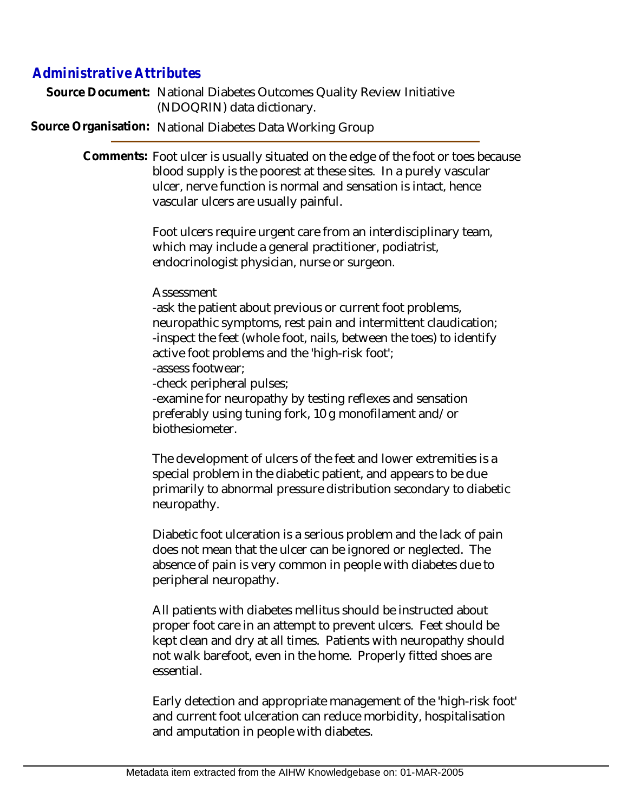## *Administrative Attributes*

| Source Document: National Diabetes Outcomes Quality Review Initiative<br>(NDOQRIN) data dictionary.                                                                                                                                                                                                                                                                                                                                                            |
|----------------------------------------------------------------------------------------------------------------------------------------------------------------------------------------------------------------------------------------------------------------------------------------------------------------------------------------------------------------------------------------------------------------------------------------------------------------|
| Source Organisation: National Diabetes Data Working Group                                                                                                                                                                                                                                                                                                                                                                                                      |
| Comments: Foot ulcer is usually situated on the edge of the foot or toes because<br>blood supply is the poorest at these sites. In a purely vascular<br>ulcer, nerve function is normal and sensation is intact, hence<br>vascular ulcers are usually painful.                                                                                                                                                                                                 |
| Foot ulcers require urgent care from an interdisciplinary team,<br>which may include a general practitioner, podiatrist,<br>endocrinologist physician, nurse or surgeon.                                                                                                                                                                                                                                                                                       |
| Assessment<br>-ask the patient about previous or current foot problems,<br>neuropathic symptoms, rest pain and intermittent claudication;<br>-inspect the feet (whole foot, nails, between the toes) to identify<br>active foot problems and the 'high-risk foot';<br>-assess footwear:<br>-check peripheral pulses;<br>-examine for neuropathy by testing reflexes and sensation<br>preferably using tuning fork, 10 g monofilament and/or<br>biothesiometer. |
| The development of ulcers of the feet and lower extremities is a<br>special problem in the diabetic patient, and appears to be due<br>primarily to abnormal pressure distribution secondary to diabetic<br>neuropathy.                                                                                                                                                                                                                                         |
| Diabetic foot ulceration is a serious problem and the lack of pain<br>does not mean that the ulcer can be ignored or neglected. The<br>absence of pain is very common in people with diabetes due to<br>peripheral neuropathy.                                                                                                                                                                                                                                 |
| All patients with diabetes mellitus should be instructed about<br>proper foot care in an attempt to prevent ulcers. Feet should be<br>kept clean and dry at all times. Patients with neuropathy should<br>not walk barefoot, even in the home. Properly fitted shoes are<br>essential.                                                                                                                                                                         |

Early detection and appropriate management of the 'high-risk foot' and current foot ulceration can reduce morbidity, hospitalisation and amputation in people with diabetes.